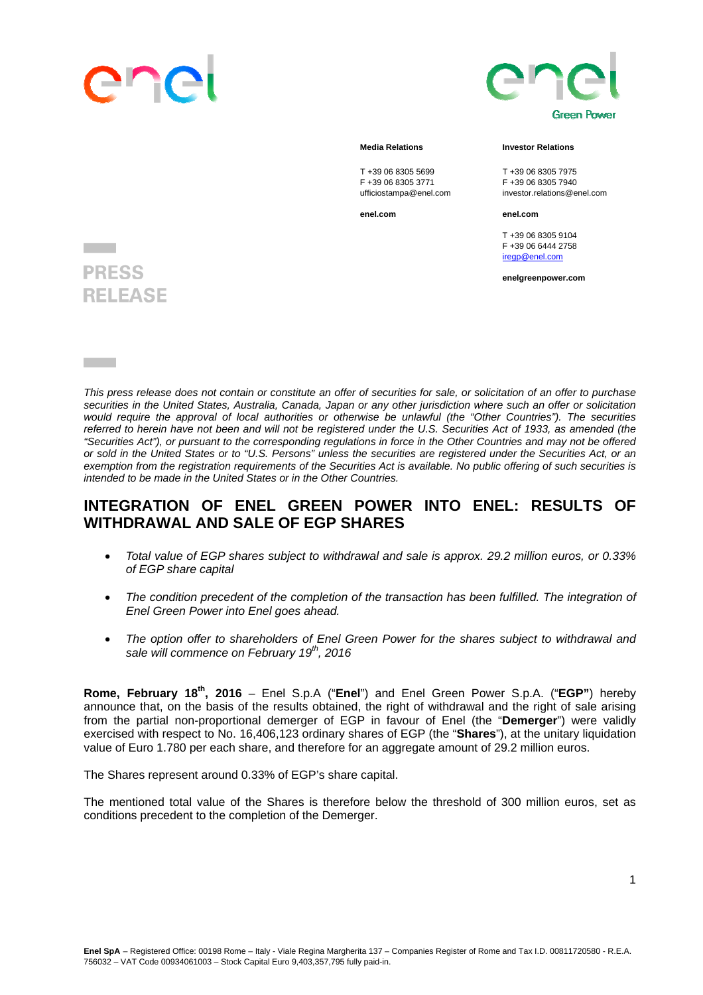



## **Media Relations Community Community** Investor Relations

T +39 06 8305 5699 T +39 06 8305 7975<br>F +39 06 8305 3771 F +39 06 8305 7940 F +39 06 8305 3771 F +39 06 8305 7940

**enel.com enel.com** 

T +39 06 8305 9104 F +39 06 6444 2758

investor.relations@enel.com

iregn@enel.com

**enelgreenpower.com**

## **PRESS RELEASE**

*This press release does not contain or constitute an offer of securities for sale, or solicitation of an offer to purchase securities in the United States, Australia, Canada, Japan or any other jurisdiction where such an offer or solicitation*  would require the approval of local authorities or otherwise be unlawful (the "Other Countries"). The securities *referred to herein have not been and will not be registered under the U.S. Securities Act of 1933, as amended (the "Securities Act"), or pursuant to the corresponding regulations in force in the Other Countries and may not be offered or sold in the United States or to "U.S. Persons" unless the securities are registered under the Securities Act, or an exemption from the registration requirements of the Securities Act is available. No public offering of such securities is intended to be made in the United States or in the Other Countries.* 

## **INTEGRATION OF ENEL GREEN POWER INTO ENEL: RESULTS OF WITHDRAWAL AND SALE OF EGP SHARES**

- *Total value of EGP shares subject to withdrawal and sale is approx. 29.2 million euros, or 0.33% of EGP share capital*
- *The condition precedent of the completion of the transaction has been fulfilled. The integration of Enel Green Power into Enel goes ahead.*
- *The option offer to shareholders of Enel Green Power for the shares subject to withdrawal and sale will commence on February 19th, 2016*

**Rome, February 18th, 2016** – Enel S.p.A ("**Enel**") and Enel Green Power S.p.A. ("**EGP"**) hereby announce that, on the basis of the results obtained, the right of withdrawal and the right of sale arising from the partial non-proportional demerger of EGP in favour of Enel (the "**Demerger**") were validly exercised with respect to No. 16,406,123 ordinary shares of EGP (the "**Shares**"), at the unitary liquidation value of Euro 1.780 per each share, and therefore for an aggregate amount of 29.2 million euros.

The Shares represent around 0.33% of EGP's share capital.

The mentioned total value of the Shares is therefore below the threshold of 300 million euros, set as conditions precedent to the completion of the Demerger.